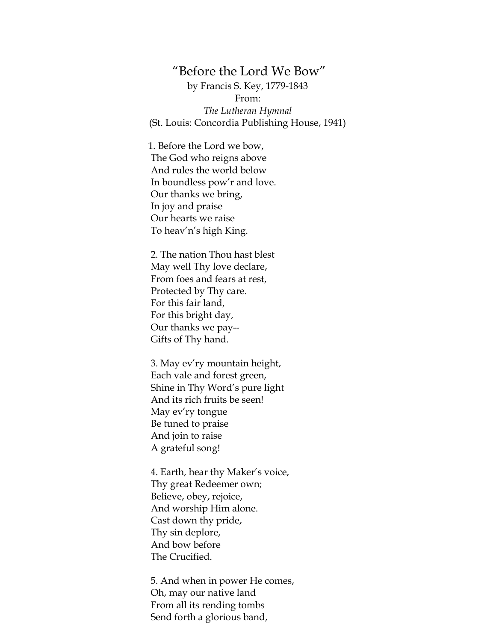## "Before the Lord We Bow"

by Francis S. Key, 1779-1843 From: *The Lutheran Hymnal* (St. Louis: Concordia Publishing House, 1941)

1. Before the Lord we bow, The God who reigns above And rules the world below In boundless pow'r and love. Our thanks we bring, In joy and praise Our hearts we raise To heav'n's high King.

2. The nation Thou hast blest May well Thy love declare, From foes and fears at rest, Protected by Thy care. For this fair land, For this bright day, Our thanks we pay-- Gifts of Thy hand.

3. May ev'ry mountain height, Each vale and forest green, Shine in Thy Word's pure light And its rich fruits be seen! May ev'ry tongue Be tuned to praise And join to raise A grateful song!

4. Earth, hear thy Maker's voice, Thy great Redeemer own; Believe, obey, rejoice, And worship Him alone. Cast down thy pride, Thy sin deplore, And bow before The Crucified.

5. And when in power He comes, Oh, may our native land From all its rending tombs Send forth a glorious band,